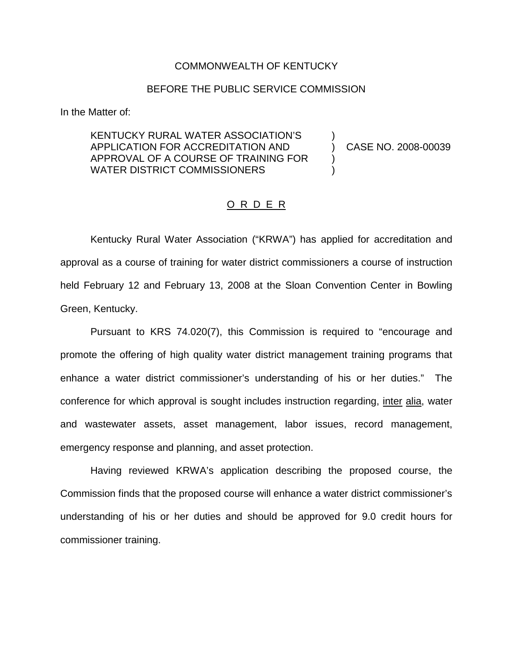## COMMONWEALTH OF KENTUCKY

## BEFORE THE PUBLIC SERVICE COMMISSION

In the Matter of:

## KENTUCKY RURAL WATER ASSOCIATION'S ) APPLICATION FOR ACCREDITATION AND ) CASE NO. 2008-00039 APPROVAL OF A COURSE OF TRAINING FOR ) WATER DISTRICT COMMISSIONERS

## O R D E R

Kentucky Rural Water Association ("KRWA") has applied for accreditation and approval as a course of training for water district commissioners a course of instruction held February 12 and February 13, 2008 at the Sloan Convention Center in Bowling Green, Kentucky.

Pursuant to KRS 74.020(7), this Commission is required to "encourage and promote the offering of high quality water district management training programs that enhance a water district commissioner's understanding of his or her duties." The conference for which approval is sought includes instruction regarding, inter alia, water and wastewater assets, asset management, labor issues, record management, emergency response and planning, and asset protection.

Having reviewed KRWA's application describing the proposed course, the Commission finds that the proposed course will enhance a water district commissioner's understanding of his or her duties and should be approved for 9.0 credit hours for commissioner training.